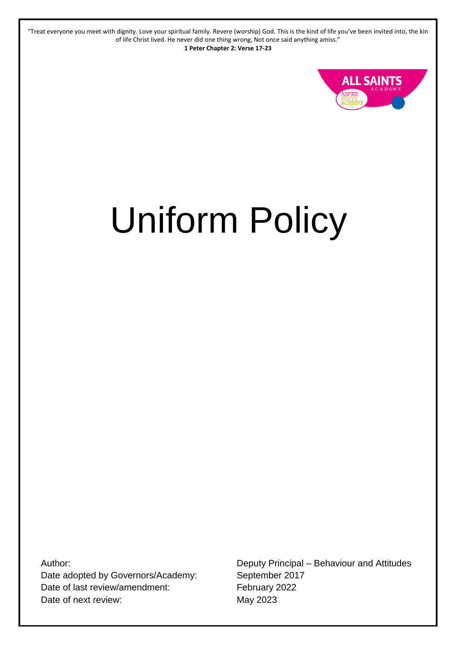"Treat everyone you meet with dignity. Love your spiritual family. Revere (worship) God. This is the kind of life you've been invited into, the kin of life Christ lived. He never did one thing wrong, Not once said anything amiss." **1 Peter Chapter 2: Verse 17-23**



# Uniform Policy

Author: Date adopted by Governors/Academy: Date of last review/amendment: Date of next review:

Deputy Principal – Behaviour and Attitudes September 2017 February 2022 May 2023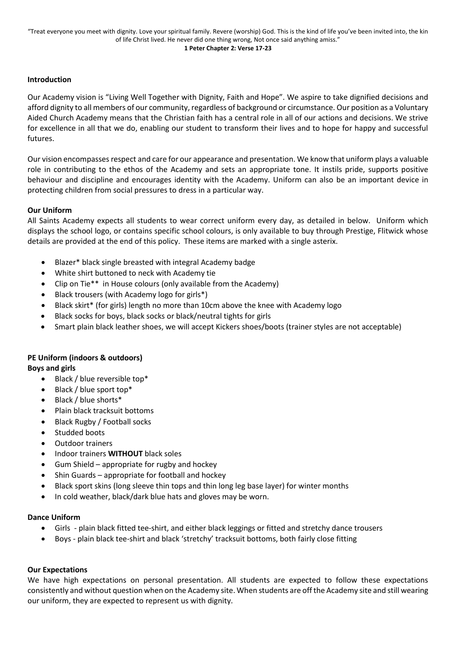#### **Introduction**

Our Academy vision is "Living Well Together with Dignity, Faith and Hope". We aspire to take dignified decisions and afford dignity to all members of our community, regardless of background or circumstance. Our position as a Voluntary Aided Church Academy means that the Christian faith has a central role in all of our actions and decisions. We strive for excellence in all that we do, enabling our student to transform their lives and to hope for happy and successful futures.

Our vision encompasses respect and care for our appearance and presentation. We know that uniform plays a valuable role in contributing to the ethos of the Academy and sets an appropriate tone. It instils pride, supports positive behaviour and discipline and encourages identity with the Academy. Uniform can also be an important device in protecting children from social pressures to dress in a particular way.

#### **Our Uniform**

All Saints Academy expects all students to wear correct uniform every day, as detailed in below. Uniform which displays the school logo, or contains specific school colours, is only available to buy through Prestige, Flitwick whose details are provided at the end of this policy. These items are marked with a single asterix.

- Blazer\* black single breasted with integral Academy badge
- White shirt buttoned to neck with Academy tie
- Clip on Tie\*\* in House colours (only available from the Academy)
- Black trousers (with Academy logo for girls\*)
- Black skirt\* (for girls) length no more than 10cm above the knee with Academy logo
- Black socks for boys, black socks or black/neutral tights for girls
- Smart plain black leather shoes, we will accept Kickers shoes/boots (trainer styles are not acceptable)

## **PE Uniform (indoors & outdoors)**

**Boys and girls** 

- Black / blue reversible top\*
- Black / blue sport top\*
- Black / blue shorts\*
- Plain black tracksuit bottoms
- Black Rugby / Football socks
- Studded boots
- Outdoor trainers
- Indoor trainers **WITHOUT** black soles
- Gum Shield appropriate for rugby and hockey
- Shin Guards appropriate for football and hockey
- Black sport skins (long sleeve thin tops and thin long leg base layer) for winter months
- In cold weather, black/dark blue hats and gloves may be worn.

### **Dance Uniform**

- Girls plain black fitted tee-shirt, and either black leggings or fitted and stretchy dance trousers
- Boys plain black tee-shirt and black 'stretchy' tracksuit bottoms, both fairly close fitting

### **Our Expectations**

We have high expectations on personal presentation. All students are expected to follow these expectations consistently and without question when on the Academy site. When students are off the Academy site and still wearing our uniform, they are expected to represent us with dignity.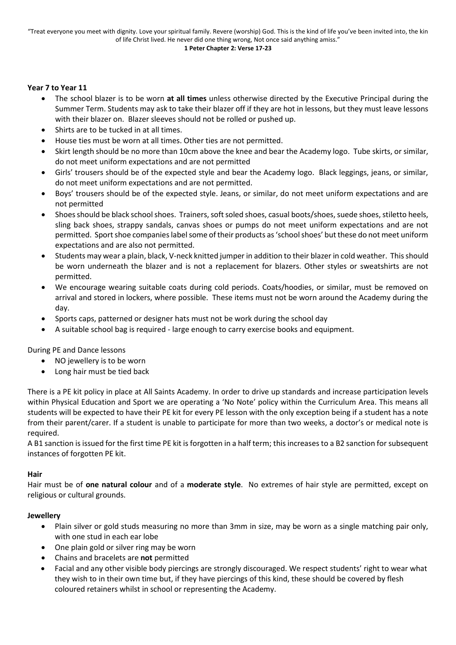#### **Year 7 to Year 11**

- The school blazer is to be worn **at all times** unless otherwise directed by the Executive Principal during the Summer Term. Students may ask to take their blazer off if they are hot in lessons, but they must leave lessons with their blazer on. Blazer sleeves should not be rolled or pushed up.
- Shirts are to be tucked in at all times.
- House ties must be worn at all times. Other ties are not permitted.
- Skirt length should be no more than 10cm above the knee and bear the Academy logo. Tube skirts, or similar, do not meet uniform expectations and are not permitted
- Girls' trousers should be of the expected style and bear the Academy logo. Black leggings, jeans, or similar, do not meet uniform expectations and are not permitted.
- Boys' trousers should be of the expected style. Jeans, or similar, do not meet uniform expectations and are not permitted
- Shoes should be black school shoes. Trainers, soft soled shoes, casual boots/shoes, suede shoes, stiletto heels, sling back shoes, strappy sandals, canvas shoes or pumps do not meet uniform expectations and are not permitted. Sport shoe companies label some of their products as 'school shoes' but these do not meet uniform expectations and are also not permitted.
- Students may wear a plain, black, V-neck knitted jumper in addition to their blazer in cold weather. This should be worn underneath the blazer and is not a replacement for blazers. Other styles or sweatshirts are not permitted.
- We encourage wearing suitable coats during cold periods. Coats/hoodies, or similar, must be removed on arrival and stored in lockers, where possible. These items must not be worn around the Academy during the day.
- Sports caps, patterned or designer hats must not be work during the school day
- A suitable school bag is required large enough to carry exercise books and equipment.

During PE and Dance lessons

- NO jewellery is to be worn
- Long hair must be tied back

There is a PE kit policy in place at All Saints Academy. In order to drive up standards and increase participation levels within Physical Education and Sport we are operating a 'No Note' policy within the Curriculum Area. This means all students will be expected to have their PE kit for every PE lesson with the only exception being if a student has a note from their parent/carer. If a student is unable to participate for more than two weeks, a doctor's or medical note is required.

A B1 sanction is issued for the first time PE kit is forgotten in a half term; this increases to a B2 sanction for subsequent instances of forgotten PE kit.

#### **Hair**

Hair must be of **one natural colour** and of a **moderate style**. No extremes of hair style are permitted, except on religious or cultural grounds.

#### **Jewellery**

- Plain silver or gold studs measuring no more than 3mm in size, may be worn as a single matching pair only, with one stud in each ear lobe
- One plain gold or silver ring may be worn
- Chains and bracelets are **not** permitted
- Facial and any other visible body piercings are strongly discouraged. We respect students' right to wear what they wish to in their own time but, if they have piercings of this kind, these should be covered by flesh coloured retainers whilst in school or representing the Academy.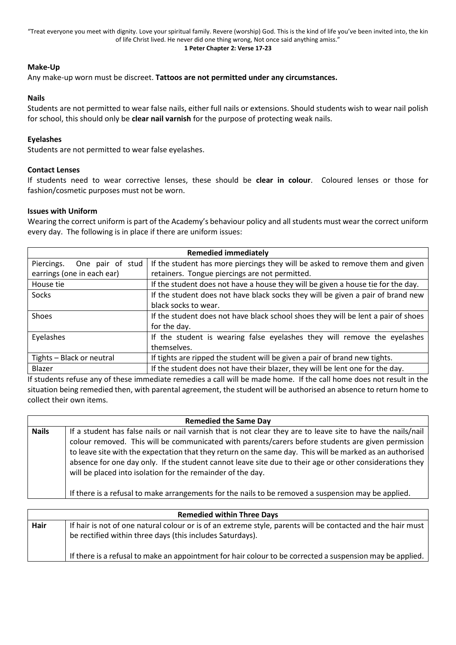"Treat everyone you meet with dignity. Love your spiritual family. Revere (worship) God. This is the kind of life you've been invited into, the kin of life Christ lived. He never did one thing wrong, Not once said anything amiss."

#### **1 Peter Chapter 2: Verse 17-23**

#### **Make-Up**

Any make-up worn must be discreet. **Tattoos are not permitted under any circumstances.**

#### **Nails**

Students are not permitted to wear false nails, either full nails or extensions. Should students wish to wear nail polish for school, this should only be **clear nail varnish** for the purpose of protecting weak nails.

#### **Eyelashes**

Students are not permitted to wear false eyelashes.

#### **Contact Lenses**

If students need to wear corrective lenses, these should be **clear in colour**. Coloured lenses or those for fashion/cosmetic purposes must not be worn.

#### **Issues with Uniform**

Wearing the correct uniform is part of the Academy's behaviour policy and all students must wear the correct uniform every day. The following is in place if there are uniform issues:

| <b>Remedied immediately</b>    |                                                                                   |  |
|--------------------------------|-----------------------------------------------------------------------------------|--|
| Piercings.<br>One pair of stud | If the student has more piercings they will be asked to remove them and given     |  |
| earrings (one in each ear)     | retainers. Tongue piercings are not permitted.                                    |  |
| House tie                      | If the student does not have a house they will be given a house tie for the day.  |  |
| Socks                          | If the student does not have black socks they will be given a pair of brand new   |  |
|                                | black socks to wear.                                                              |  |
| Shoes                          | If the student does not have black school shoes they will be lent a pair of shoes |  |
|                                | for the day.                                                                      |  |
| Eyelashes                      | If the student is wearing false eyelashes they will remove the eyelashes          |  |
|                                | themselves.                                                                       |  |
| Tights - Black or neutral      | If tights are ripped the student will be given a pair of brand new tights.        |  |
| Blazer                         | If the student does not have their blazer, they will be lent one for the day.     |  |

If students refuse any of these immediate remedies a call will be made home. If the call home does not result in the situation being remedied then, with parental agreement, the student will be authorised an absence to return home to collect their own items.

| <b>Remedied the Same Day</b> |                                                                                                                                                                                                                                                                                                                                                                                                                                                                                                            |  |
|------------------------------|------------------------------------------------------------------------------------------------------------------------------------------------------------------------------------------------------------------------------------------------------------------------------------------------------------------------------------------------------------------------------------------------------------------------------------------------------------------------------------------------------------|--|
| <b>Nails</b>                 | If a student has false nails or nail varnish that is not clear they are to leave site to have the nails/nail<br>colour removed. This will be communicated with parents/carers before students are given permission<br>to leave site with the expectation that they return on the same day. This will be marked as an authorised<br>absence for one day only. If the student cannot leave site due to their age or other considerations they<br>will be placed into isolation for the remainder of the day. |  |
|                              | If there is a refusal to make arrangements for the nails to be removed a suspension may be applied.                                                                                                                                                                                                                                                                                                                                                                                                        |  |

|      | <b>Remedied within Three Days</b>                                                                                                                                        |
|------|--------------------------------------------------------------------------------------------------------------------------------------------------------------------------|
| Hair | If hair is not of one natural colour or is of an extreme style, parents will be contacted and the hair must<br>be rectified within three days (this includes Saturdays). |
|      | If there is a refusal to make an appointment for hair colour to be corrected a suspension may be applied.                                                                |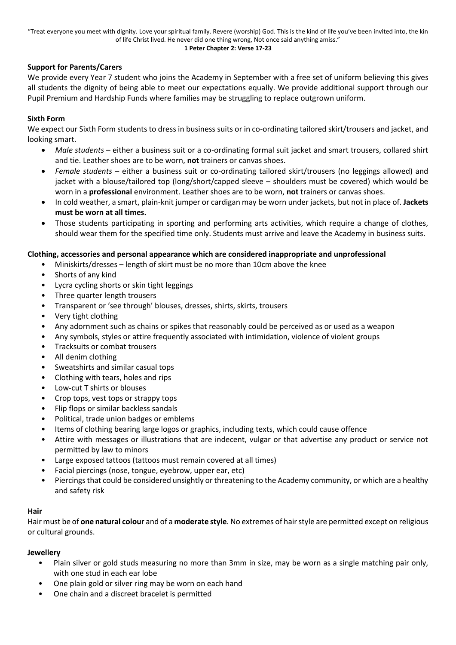#### **1 Peter Chapter 2: Verse 17-23**

### **Support for Parents/Carers**

We provide every Year 7 student who joins the Academy in September with a free set of uniform believing this gives all students the dignity of being able to meet our expectations equally. We provide additional support through our Pupil Premium and Hardship Funds where families may be struggling to replace outgrown uniform.

#### **Sixth Form**

We expect our Sixth Form students to dress in business suits or in co-ordinating tailored skirt/trousers and jacket, and looking smart.

- *Male students* either a business suit or a co-ordinating formal suit jacket and smart trousers, collared shirt and tie. Leather shoes are to be worn, **not** trainers or canvas shoes.
- *Female students* either a business suit or co-ordinating tailored skirt/trousers (no leggings allowed) and jacket with a blouse/tailored top (long/short/capped sleeve – shoulders must be covered) which would be worn in a **professional** environment. Leather shoes are to be worn, **not** trainers or canvas shoes.
- In cold weather, a smart, plain-knit jumper or cardigan may be worn under jackets, but not in place of. **Jackets must be worn at all times.**
- Those students participating in sporting and performing arts activities, which require a change of clothes, should wear them for the specified time only. Students must arrive and leave the Academy in business suits.

#### **Clothing, accessories and personal appearance which are considered inappropriate and unprofessional**

- Miniskirts/dresses length of skirt must be no more than 10cm above the knee
- Shorts of any kind
- Lycra cycling shorts or skin tight leggings
- Three quarter length trousers
- Transparent or 'see through' blouses, dresses, shirts, skirts, trousers
- Very tight clothing
- Any adornment such as chains or spikes that reasonably could be perceived as or used as a weapon
- Any symbols, styles or attire frequently associated with intimidation, violence of violent groups
- Tracksuits or combat trousers
- All denim clothing
- Sweatshirts and similar casual tops
- Clothing with tears, holes and rips
- Low-cut T shirts or blouses
- Crop tops, vest tops or strappy tops
- Flip flops or similar backless sandals
- Political, trade union badges or emblems
- Items of clothing bearing large logos or graphics, including texts, which could cause offence
- Attire with messages or illustrations that are indecent, vulgar or that advertise any product or service not permitted by law to minors
- Large exposed tattoos (tattoos must remain covered at all times)
- Facial piercings (nose, tongue, eyebrow, upper ear, etc)
- Piercings that could be considered unsightly or threatening to the Academy community, or which are a healthy and safety risk

### **Hair**

Hair must be of **one natural colour** and of a **moderate style**. No extremes of hair style are permitted except on religious or cultural grounds.

#### **Jewellery**

- Plain silver or gold studs measuring no more than 3mm in size, may be worn as a single matching pair only, with one stud in each ear lobe
- One plain gold or silver ring may be worn on each hand
- One chain and a discreet bracelet is permitted